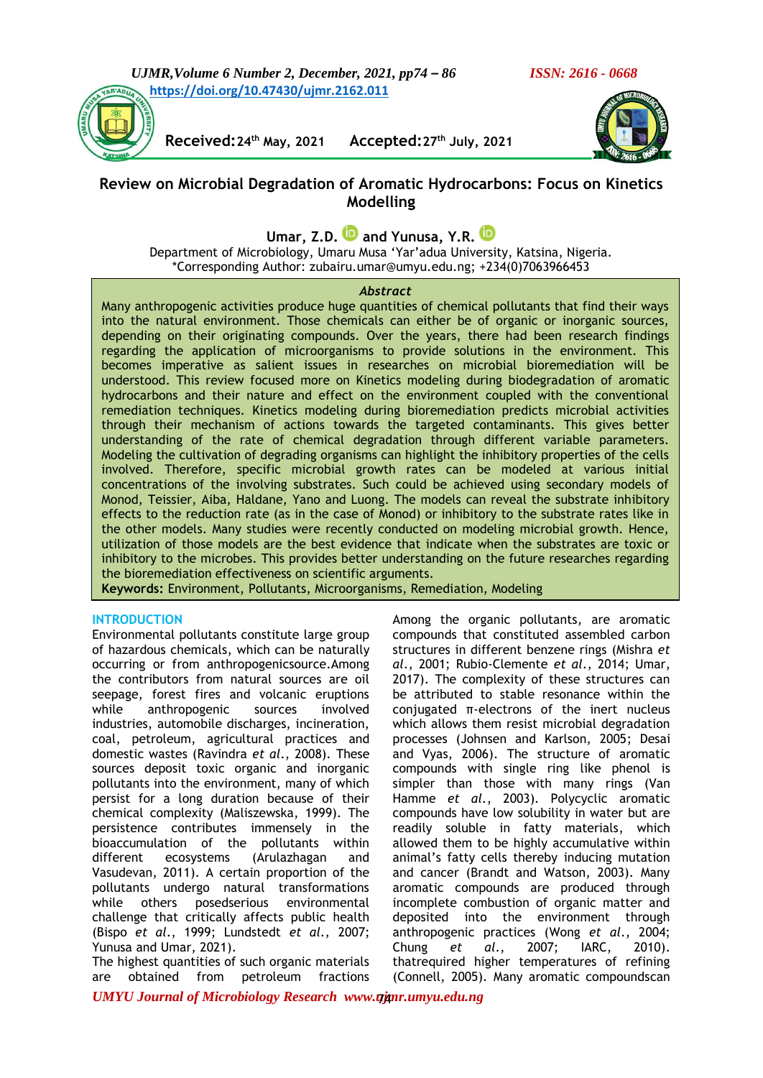

**Received:24th May, 2021 Accepted:27th July, 2021**



# **Review on Microbial Degradation of Aromatic Hydrocarbons: Focus on Kinetics Modelling**

**Umar, Z.D. and Yunusa, Y.R.**

Department of Microbiology, Umaru Musa 'Yar'adua University, Katsina, Nigeria. \*Corresponding Author: zubairu.umar@umyu.edu.ng; +234(0)7063966453

#### *Abstract*

Many anthropogenic activities produce huge quantities of chemical pollutants that find their ways into the natural environment. Those chemicals can either be of organic or inorganic sources, depending on their originating compounds. Over the years, there had been research findings regarding the application of microorganisms to provide solutions in the environment. This becomes imperative as salient issues in researches on microbial bioremediation will be understood. This review focused more on Kinetics modeling during biodegradation of aromatic hydrocarbons and their nature and effect on the environment coupled with the conventional remediation techniques. Kinetics modeling during bioremediation predicts microbial activities through their mechanism of actions towards the targeted contaminants. This gives better understanding of the rate of chemical degradation through different variable parameters. Modeling the cultivation of degrading organisms can highlight the inhibitory properties of the cells involved. Therefore, specific microbial growth rates can be modeled at various initial concentrations of the involving substrates. Such could be achieved using secondary models of Monod, Teissier, Aiba, Haldane, Yano and Luong. The models can reveal the substrate inhibitory effects to the reduction rate (as in the case of Monod) or inhibitory to the substrate rates like in the other models. Many studies were recently conducted on modeling microbial growth. Hence, utilization of those models are the best evidence that indicate when the substrates are toxic or inhibitory to the microbes. This provides better understanding on the future researches regarding the bioremediation effectiveness on scientific arguments.

**Keywords:** Environment, Pollutants, Microorganisms, Remediation, Modeling

## **INTRODUCTION**

Environmental pollutants constitute large group of hazardous chemicals, which can be naturally occurring or from anthropogenicsource.Among the contributors from natural sources are oil seepage, forest fires and volcanic eruptions while anthropogenic sources involved industries, automobile discharges, incineration, coal, petroleum, agricultural practices and domestic wastes (Ravindra *et al*., 2008). These sources deposit toxic organic and inorganic pollutants into the environment, many of which persist for a long duration because of their chemical complexity (Maliszewska, 1999). The persistence contributes immensely in the bioaccumulation of the pollutants within different ecosystems (Arulazhagan and Vasudevan, 2011). A certain proportion of the pollutants undergo natural transformations while others posedserious environmental challenge that critically affects public health (Bispo *et al*., 1999; Lundstedt *et al.,* 2007; Yunusa and Umar, 2021).

The highest quantities of such organic materials are obtained from petroleum fractions

Among the organic pollutants, are aromatic compounds that constituted assembled carbon structures in different benzene rings (Mishra *et al*., 2001; Rubio-Clemente *et al*., 2014; Umar, 2017). The complexity of these structures can be attributed to stable resonance within the conjugated π-electrons of the inert nucleus which allows them resist microbial degradation processes (Johnsen and Karlson, 2005; Desai and Vyas, 2006). The structure of aromatic compounds with single ring like phenol is simpler than those with many rings (Van Hamme *et al.*, 2003). Polycyclic aromatic compounds have low solubility in water but are readily soluble in fatty materials, which allowed them to be highly accumulative within animal's fatty cells thereby inducing mutation and cancer (Brandt and Watson, 2003). Many aromatic compounds are produced through incomplete combustion of organic matter and deposited into the environment through anthropogenic practices (Wong *et al*., 2004; Chung *et al*., 2007; IARC, 2010). thatrequired higher temperatures of refining (Connell, 2005). Many aromatic compoundscan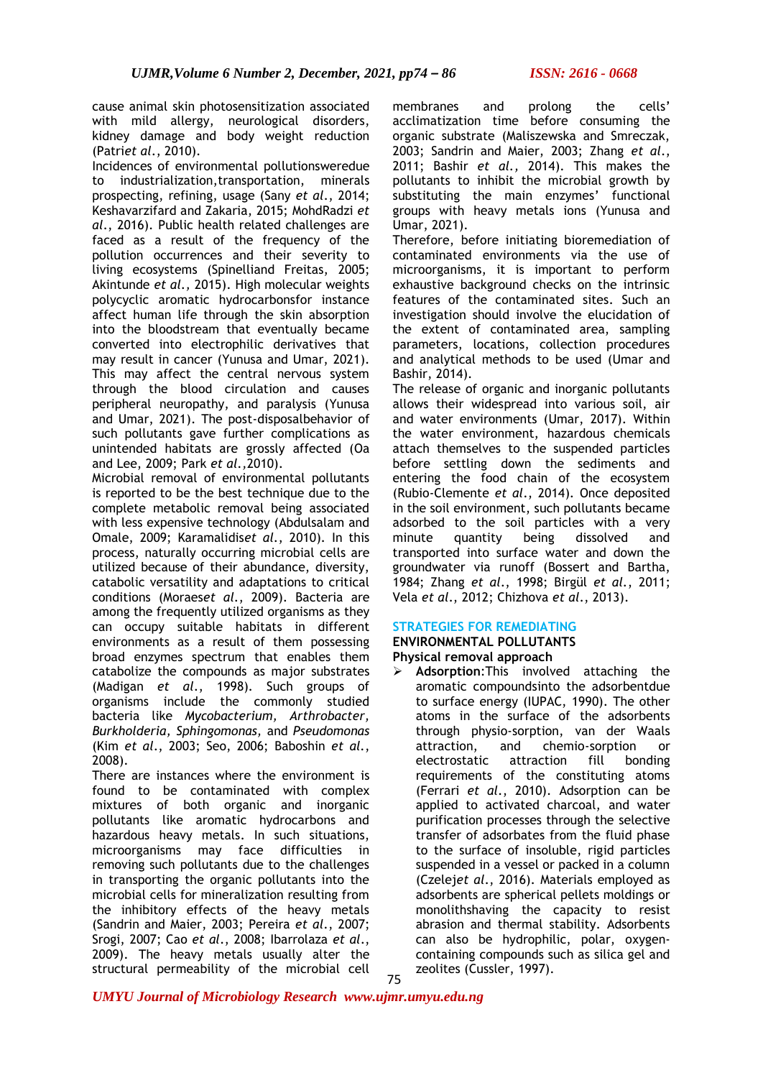cause animal skin photosensitization associated with mild allergy, neurological disorders, kidney damage and body weight reduction (Patri*et al*., 2010).

Incidences of environmental pollutionsweredue to industrialization,transportation, minerals prospecting, refining, usage (Sany *et al*., 2014; Keshavarzifard and Zakaria, 2015; MohdRadzi *et al*., 2016). Public health related challenges are faced as a result of the frequency of the pollution occurrences and their severity to living ecosystems (Spinelliand Freitas, 2005; Akintunde *et al.,* 2015). High molecular weights polycyclic aromatic hydrocarbonsfor instance affect human life through the skin absorption into the bloodstream that eventually became converted into electrophilic derivatives that may result in cancer (Yunusa and Umar, 2021). This may affect the central nervous system through the blood circulation and causes peripheral neuropathy, and paralysis (Yunusa and Umar, 2021). The post-disposalbehavior of such pollutants gave further complications as unintended habitats are grossly affected (Oa and Lee, 2009; Park *et al.,*2010).

Microbial removal of environmental pollutants is reported to be the best technique due to the complete metabolic removal being associated with less expensive technology (Abdulsalam and Omale, 2009; Karamalidis*et al.*, 2010). In this process, naturally occurring microbial cells are utilized because of their abundance, diversity, catabolic versatility and adaptations to critical conditions (Moraes*et al.*, 2009). Bacteria are among the frequently utilized organisms as they can occupy suitable habitats in different environments as a result of them possessing broad enzymes spectrum that enables them catabolize the compounds as major substrates (Madigan *et al*., 1998). Such groups of organisms include the commonly studied bacteria like *Mycobacterium, Arthrobacter, Burkholderia, Sphingomonas,* and *Pseudomonas* (Kim *et al*., 2003; Seo, 2006; Baboshin *et al.*, 2008).

There are instances where the environment is found to be contaminated with complex mixtures of both organic and inorganic pollutants like aromatic hydrocarbons and hazardous heavy metals. In such situations, microorganisms may face difficulties in removing such pollutants due to the challenges in transporting the organic pollutants into the microbial cells for mineralization resulting from the inhibitory effects of the heavy metals (Sandrin and Maier, 2003; Pereira *et al*., 2007; Srogi, 2007; Cao *et al*., 2008; Ibarrolaza *et al*., 2009). The heavy metals usually alter the structural permeability of the microbial cell

membranes and prolong the cells' acclimatization time before consuming the organic substrate (Maliszewska and Smreczak, 2003; Sandrin and Maier, 2003; Zhang *et al*., 2011; Bashir *et al.,* 2014). This makes the pollutants to inhibit the microbial growth by substituting the main enzymes' functional groups with heavy metals ions (Yunusa and Umar, 2021).

Therefore, before initiating bioremediation of contaminated environments via the use of microorganisms, it is important to perform exhaustive background checks on the intrinsic features of the contaminated sites. Such an investigation should involve the elucidation of the extent of contaminated area, sampling parameters, locations, collection procedures and analytical methods to be used (Umar and Bashir, 2014).

The release of organic and inorganic pollutants allows their widespread into various soil, air and water environments (Umar, 2017). Within the water environment, hazardous chemicals attach themselves to the suspended particles before settling down the sediments and entering the food chain of the ecosystem (Rubio-Clemente *et al*., 2014). Once deposited in the soil environment, such pollutants became adsorbed to the soil particles with a very minute quantity being dissolved and transported into surface water and down the groundwater via runoff (Bossert and Bartha, 1984; Zhang *et al*., 1998; Birgül *et al.*, 2011; Vela *et al*., 2012; Chizhova *et al*., 2013).

#### **STRATEGIES FOR REMEDIATING ENVIRONMENTAL POLLUTANTS**

**Physical removal approach**

➢ **Adsorption**:This involved attaching the aromatic compoundsinto the adsorbentdue to surface energy (IUPAC, 1990). The other atoms in the surface of the adsorbents through physio-sorption, van der Waals attraction, and chemio-sorption or electrostatic attraction fill bonding requirements of the constituting atoms (Ferrari *et al*., 2010). Adsorption can be applied to activated charcoal, and water purification processes through the selective transfer of adsorbates from the fluid phase to the surface of insoluble, rigid particles suspended in a vessel or packed in a column (Czelej*et al*., 2016). Materials employed as adsorbents are spherical pellets moldings or monolithshaving the capacity to resist abrasion and thermal stability. Adsorbents can also be hydrophilic, polar, oxygencontaining compounds such as silica gel and zeolites (Cussler, 1997). 75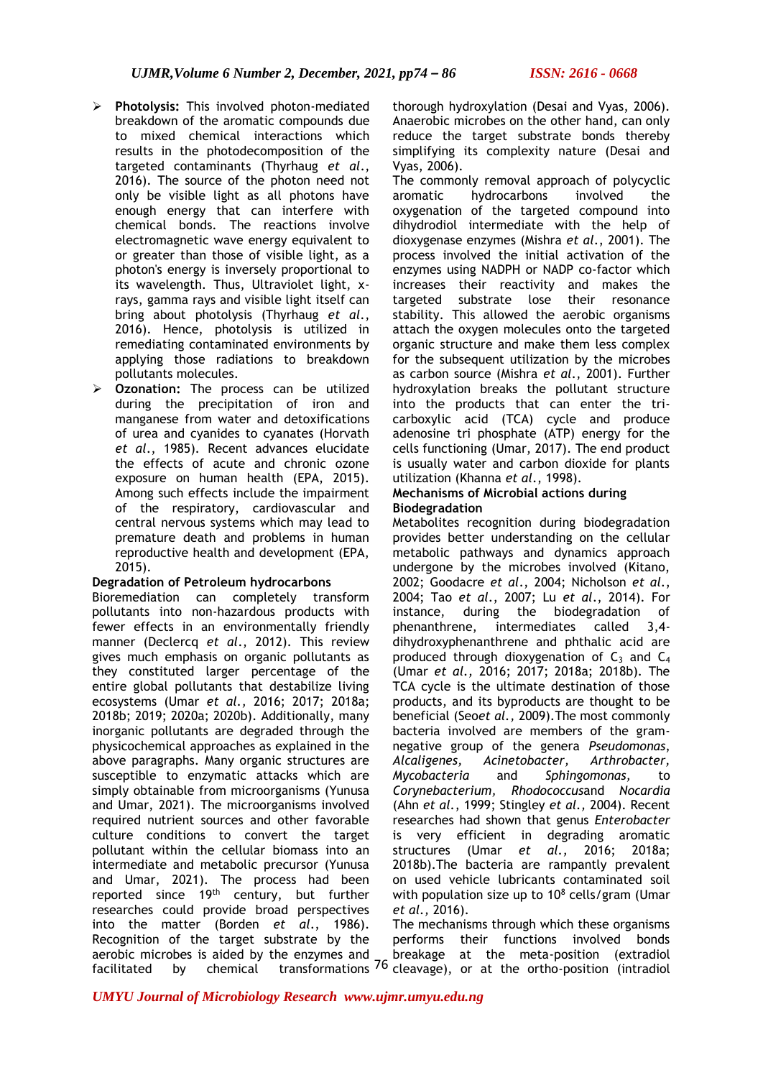- ➢ **Photolysis:** This involved photon-mediated breakdown of the aromatic compounds due to mixed chemical interactions which results in the photodecomposition of the targeted contaminants (Thyrhaug *et al*., 2016). The source of the photon need not only be visible light as all photons have enough energy that can interfere with chemical bonds. The reactions involve electromagnetic wave energy equivalent to or greater than those of visible light, as a photon's energy is inversely proportional to its wavelength. Thus, Ultraviolet light, xrays, gamma rays and visible light itself can bring about photolysis (Thyrhaug *et al*., 2016). Hence, photolysis is utilized in remediating contaminated environments by applying those radiations to breakdown pollutants molecules.
- ➢ **Ozonation:** The process can be utilized during the precipitation of iron and manganese from water and detoxifications of urea and cyanides to cyanates (Horvath *et al*., 1985). Recent advances elucidate the effects of acute and chronic ozone exposure on human health (EPA, 2015). Among such effects include the impairment of the respiratory, cardiovascular and central nervous systems which may lead to premature death and problems in human reproductive health and development (EPA, 2015).

#### **Degradation of Petroleum hydrocarbons**

Bioremediation can completely transform pollutants into non-hazardous products with fewer effects in an environmentally friendly manner (Declercq *et al*., 2012). This review gives much emphasis on organic pollutants as they constituted larger percentage of the entire global pollutants that destabilize living ecosystems (Umar *et al.,* 2016; 2017; 2018a; 2018b; 2019; 2020a; 2020b). Additionally, many inorganic pollutants are degraded through the physicochemical approaches as explained in the above paragraphs. Many organic structures are susceptible to enzymatic attacks which are simply obtainable from microorganisms (Yunusa and Umar, 2021). The microorganisms involved required nutrient sources and other favorable culture conditions to convert the target pollutant within the cellular biomass into an intermediate and metabolic precursor (Yunusa and Umar, 2021). The process had been reported since 19<sup>th</sup> century, but further researches could provide broad perspectives into the matter (Borden *et al*., 1986). Recognition of the target substrate by the aerobic microbes is aided by the enzymes and  $f_{\text{accilitated}}$  by chemical transformations  $^{76}$  cleavage), or at the ortho-position (intradiol

thorough hydroxylation (Desai and Vyas, 2006). Anaerobic microbes on the other hand, can only reduce the target substrate bonds thereby simplifying its complexity nature (Desai and Vyas, 2006).

The commonly removal approach of polycyclic aromatic hydrocarbons involved the oxygenation of the targeted compound into dihydrodiol intermediate with the help of dioxygenase enzymes (Mishra *et al*., 2001). The process involved the initial activation of the enzymes using NADPH or NADP co-factor which increases their reactivity and makes the targeted substrate lose their resonance stability. This allowed the aerobic organisms attach the oxygen molecules onto the targeted organic structure and make them less complex for the subsequent utilization by the microbes as carbon source (Mishra *et al*., 2001). Further hydroxylation breaks the pollutant structure into the products that can enter the tricarboxylic acid (TCA) cycle and produce adenosine tri phosphate (ATP) energy for the cells functioning (Umar, 2017). The end product is usually water and carbon dioxide for plants utilization (Khanna *et al*., 1998).

### **Mechanisms of Microbial actions during Biodegradation**

Metabolites recognition during biodegradation provides better understanding on the cellular metabolic pathways and dynamics approach undergone by the microbes involved (Kitano, 2002; Goodacre *et al*., 2004; Nicholson *et al*., 2004; Tao *et al*., 2007; Lu *et al*., 2014). For instance, during the biodegradation of phenanthrene, intermediates called 3,4 dihydroxyphenanthrene and phthalic acid are produced through dioxygenation of  $C_3$  and  $C_4$ (Umar *et al.,* 2016; 2017; 2018a; 2018b). The TCA cycle is the ultimate destination of those products, and its byproducts are thought to be beneficial (Seo*et al.,* 2009).The most commonly bacteria involved are members of the gramnegative group of the genera *Pseudomonas*, *Alcaligenes, Acinetobacter, Arthrobacter, Mycobacteria* and *Sphingomonas,* to *Corynebacterium, Rhodococcus*and *Nocardia* (Ahn *et al.*, 1999; Stingley *et al.,* 2004). Recent researches had shown that genus *Enterobacter* is very efficient in degrading aromatic structures (Umar *et al.,* 2016; 2018a; 2018b).The bacteria are rampantly prevalent on used vehicle lubricants contaminated soil with population size up to  $10^8$  cells/gram (Umar *et al.,* 2016).

The mechanisms through which these organisms performs their functions involved bonds breakage at the meta-position (extradiol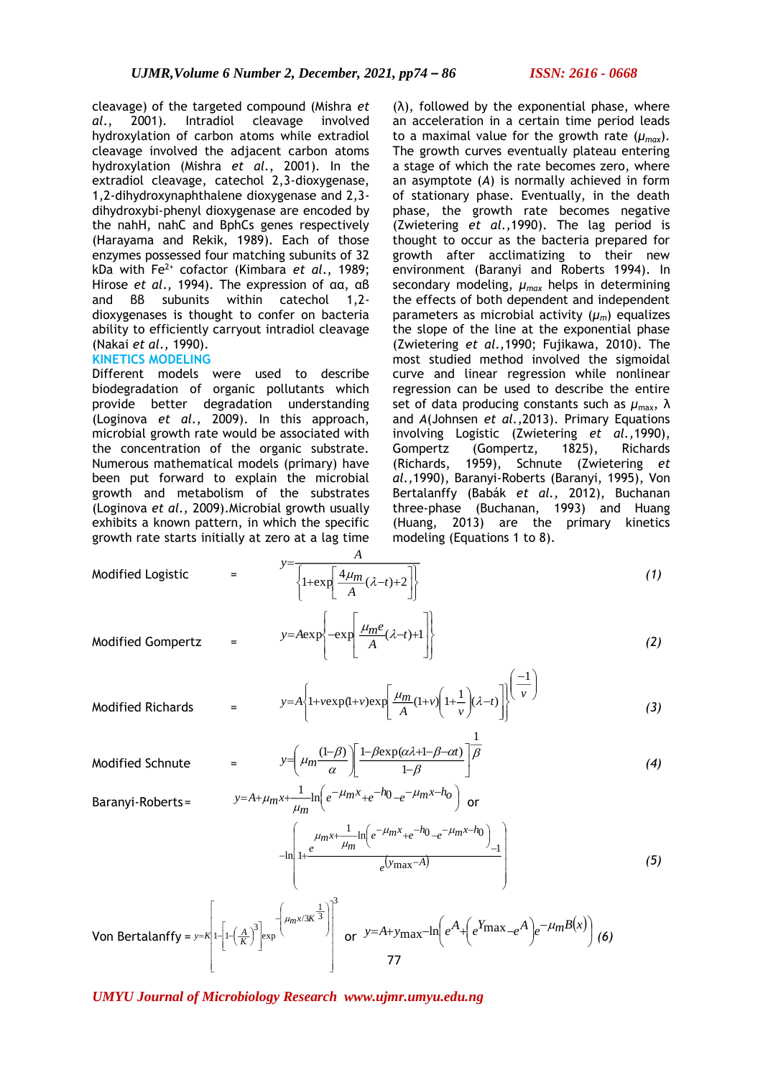cleavage) of the targeted compound (Mishra *et al*., 2001). Intradiol cleavage involved hydroxylation of carbon atoms while extradiol cleavage involved the adjacent carbon atoms hydroxylation (Mishra *et al.*, 2001). In the extradiol cleavage, catechol 2,3-dioxygenase, 1,2-dihydroxynaphthalene dioxygenase and 2,3 dihydroxybi-phenyl dioxygenase are encoded by the nahH, nahC and BphCs genes respectively (Harayama and Rekik, 1989). Each of those enzymes possessed four matching subunits of 32 kDa with Fe2+ cofactor (Kimbara *et al*., 1989; Hirose *et al*., 1994). The expression of αα, αβ and ββ subunits within catechol 1,2 dioxygenases is thought to confer on bacteria ability to efficiently carryout intradiol cleavage (Nakai *et al*., 1990).

#### **KINETICS MODELING**

Different models were used to describe biodegradation of organic pollutants which provide better degradation understanding (Loginova *et al.,* 2009). In this approach, microbial growth rate would be associated with the concentration of the organic substrate. Numerous mathematical models (primary) have been put forward to explain the microbial growth and metabolism of the substrates (Loginova *et al.,* 2009).Microbial growth usually exhibits a known pattern, in which the specific growth rate starts initially at zero at a lag time

 $(\lambda)$ , followed by the exponential phase, where an acceleration in a certain time period leads to a maximal value for the growth rate  $(\mu_{max})$ . The growth curves eventually plateau entering a stage of which the rate becomes zero, where an asymptote (*A*) is normally achieved in form of stationary phase. Eventually, in the death phase, the growth rate becomes negative (Zwietering *et al.,*1990). The lag period is thought to occur as the bacteria prepared for growth after acclimatizing to their new environment (Baranyi and Roberts 1994). In secondary modeling, *µmax* helps in determining the effects of both dependent and independent parameters as microbial activity  $(\mu_m)$  equalizes the slope of the line at the exponential phase (Zwietering *et al.,*1990; Fujikawa, 2010). The most studied method involved the sigmoidal curve and linear regression while nonlinear regression can be used to describe the entire set of data producing constants such as *µ*max, λ and *A*(Johnsen *et al.,*2013). Primary Equations involving Logistic (Zwietering *et al.,*1990), Gompertz (Gompertz, 1825), Richards (Richards, 1959), Schnute (Zwietering *et al.,*1990), Baranyi-Roberts (Baranyi, 1995), Von Bertalanffy (Babák *et al.,* 2012), Buchanan three-phase (Buchanan, 1993) and Huang (Huang, 2013) are the primary kinetics modeling (Equations 1 to 8).

Modified Logistic

\n
$$
= \frac{y = \frac{A}{\left\{1 + \exp\left[\frac{4\mu_m}{A}(\lambda - t) + 2\right]\right\}}}
$$
\nModified Gompertz

\n
$$
= y = A \exp\left\{-\exp\left[\frac{\mu_m e}{A}(\lambda - t) + 1\right]\right\}
$$
\n(1)

$$
y = A \exp\left\{-\exp\left\{\frac{\mu_{m}e}{A}(\lambda - t) + 1\right\}\right\}
$$
 (2)

$$
y = A \left\{ 1 + v \exp(1+v) \exp\left[\frac{\mu_m}{A} (1+v) \left(1+\frac{1}{v}\right) (\lambda-t)\right] \right\}^{\left(\frac{-1}{v}\right)} \tag{3}
$$

Modified Schnute = *(4)*

Modified Richards = *(3)*

$$
y = \left(\mu_m \frac{(1-\beta)}{\alpha}\right) \left[\frac{1-\beta \exp(\alpha \lambda + 1 - \beta - \alpha t)}{1-\beta}\right] \overline{\beta}
$$
  
=  $A + \mu_m x + \frac{1}{\mu_m} \ln \left(e^{-\mu_m x} + e^{-\lambda t} - e^{-\mu_m x - \lambda t}\right)$  or

I

1

Baranyi-Roberts=  $y=A+\mu_m x+\mu_m e^{i\theta+m}+e^{i\theta+m}$  or

$$
-\ln\left(1+\frac{\mu_{m}x+\frac{1}{\mu_{m}}\ln\left(e^{-\mu_{m}x}+e^{-h_{0}}-e^{-\mu_{m}x-h_{0}}\right)}{e^{\left(\gamma_{\max}-A\right)}}\right)
$$
(5)

$$
\text{Von Bertalanffy} = y = k \left[ 1 - \left( \frac{A}{K} \right)^3 \right] \exp\left( \mu_m x / 3K^{\frac{1}{3}} \right) \right]^3 \text{ or } y = A + y_{\text{max}} - \ln \left( e^A + \left( e^{\gamma \text{max}} - e^A \right) e^{-\mu_m B(x)} \right) \tag{6}
$$

 $y = A + \mu_m x + \frac{1}{\mu_m} \ln \left( e^{-\mu_m x} + e^{-\mu_0} - e^{-\mu_0 x} \right)$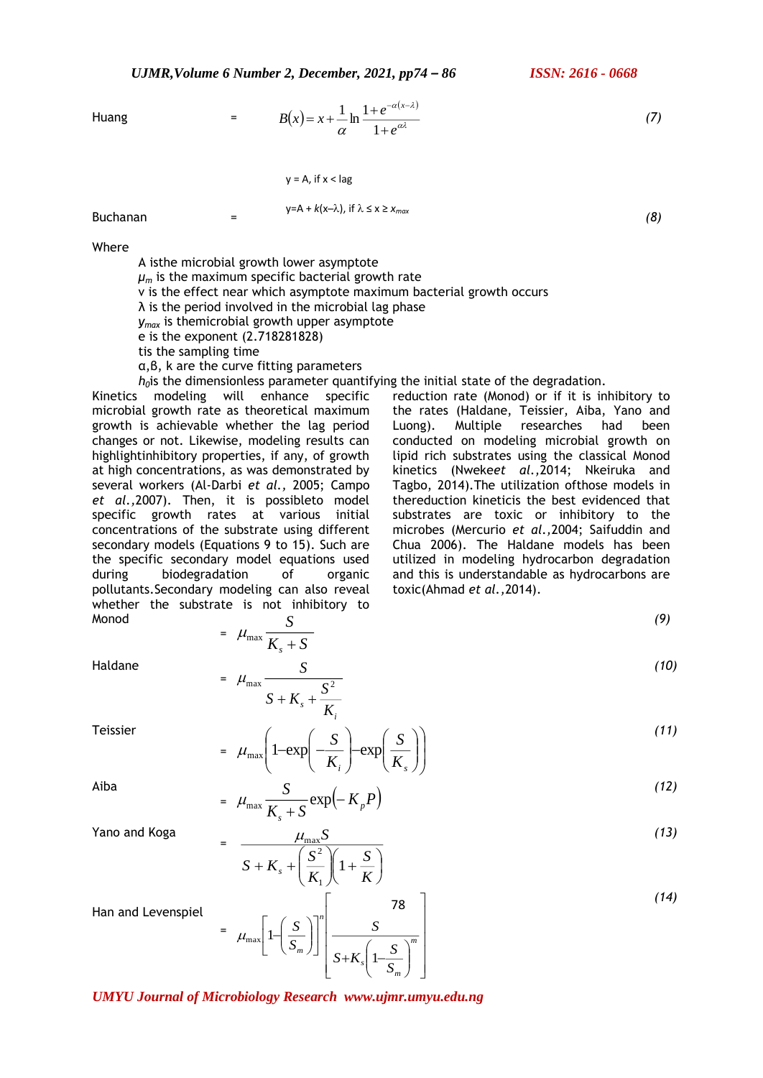*UJMR,Volume 6 Number 2, December, 2021, pp74 – 86 ISSN: 2616 - 0668*

Huang = 
$$
B(x) = x + \frac{1}{\alpha} \ln \frac{1 + e^{-\alpha(x-\lambda)}}{1 + e^{\alpha \lambda}}
$$
 (7)

$$
y = A
$$
, if  $x < lag$ 

Buchanan = *(8)*  $y = A + k(x - \lambda)$ , if  $\lambda \le x \ge x_{max}$ 

Where

A isthe microbial growth lower asymptote  $\mu_m$  is the maximum specific bacterial growth rate v is the effect near which asymptote maximum bacterial growth occurs  $\lambda$  is the period involved in the microbial lag phase *ymax* is themicrobial growth upper asymptote e is the exponent (2.718281828) tis the sampling time α,β, k are the curve fitting parameters

*h*<sub>0</sub> is the dimensionless parameter quantifying the initial state of the degradation. reduction rate (Monod) or if it is inhibitory to

Kinetics modeling will enhance specific microbial growth rate as theoretical maximum growth is achievable whether the lag period changes or not. Likewise, modeling results can highlightinhibitory properties, if any, of growth at high concentrations, as was demonstrated by several workers (Al-Darbi *et al.,* 2005; Campo *et al.,*2007). Then, it is possibleto model specific growth rates at various initial concentrations of the substrate using different secondary models (Equations 9 to 15). Such are the specific secondary model equations used during biodegradation of organic pollutants.Secondary modeling can also reveal whether the substrate is not inhibitory to Monod *S*

 $=$   $\mu_{\text{max}} \frac{K}{K} + S$  $\mu_{\max}$ 

 $\mu_{\text{I}}$ 

=

=

*<sup>s</sup>* <sup>+</sup>

 $S + K + \frac{S}{\cdot}$ 

*S* max  $\sigma^2$  $+$  K  $+$ 

*i s K*

*S*

*(9) (10)*

*(13)*

Haldane

Teissier

= I I J  $\backslash$ J  $\setminus$  $\overline{\phantom{a}}$ l  $-\exp\left(\frac{1}{2}arctan\left(\frac{1}{2}arctan\left(\frac{1}{2}arctan\left(\frac{1}{2}arctan\left(\frac{1}{2}arctan\left(\frac{1}{2}arctan\left(\frac{1}{2}arctan\left(\frac{1}{2}arctan\left(\frac{1}{2}arctan\left(\frac{1}{2}arctan\left(\frac{1}{2}arctan\left(\frac{1}{2}arctan\left(\frac{1}{2}arctan\left(\frac{1}{2}arctan\left(\frac{1}{2}arctan\left(\frac{1}{2}arctan\left(\frac{1}{2}arctan\left(\frac{1}{2}arctan\left$ l l  $\backslash$  $\overline{\phantom{a}}$ L ſ  $\parallel$ l  $-\exp\left(-\frac{S}{K_i}\right)-\exp\left(\frac{S}{K_s}\right)$ *S K*  $\mu_{\text{max}}$  1-exp  $\frac{S}{S}$   $\frac{S}{S}$  exp *(11)*

toxic(Ahmad *et al.,*2014).

Aiba

$$
= \mu_{\max} \frac{S}{K_s + S} \exp\left(-K_p P\right) \tag{12}
$$

Yano and Koga

$$
\frac{\mu_{\max} S}{S + K_s + \left(\frac{S^2}{K_1}\right)\left(1 + \frac{S}{K}\right)}
$$
\n(13)

Han and Levenspiel

$$
= \mu_{\max} \left[ 1 - \left( \frac{S}{S_m} \right) \right]^n \left[ \frac{S}{S + K_s \left( 1 - \frac{S}{S_m} \right)^m} \right]
$$

*UMYU Journal of Microbiology Research www.ujmr.umyu.edu.ng*

the rates (Haldane, Teissier, Aiba, Yano and Luong). Multiple researches had been conducted on modeling microbial growth on lipid rich substrates using the classical Monod kinetics (Nweke*et al.,*2014; Nkeiruka and Tagbo, 2014).The utilization ofthose models in thereduction kineticis the best evidenced that substrates are toxic or inhibitory to the microbes (Mercurio *et al.,*2004; Saifuddin and Chua 2006). The Haldane models has been utilized in modeling hydrocarbon degradation and this is understandable as hydrocarbons are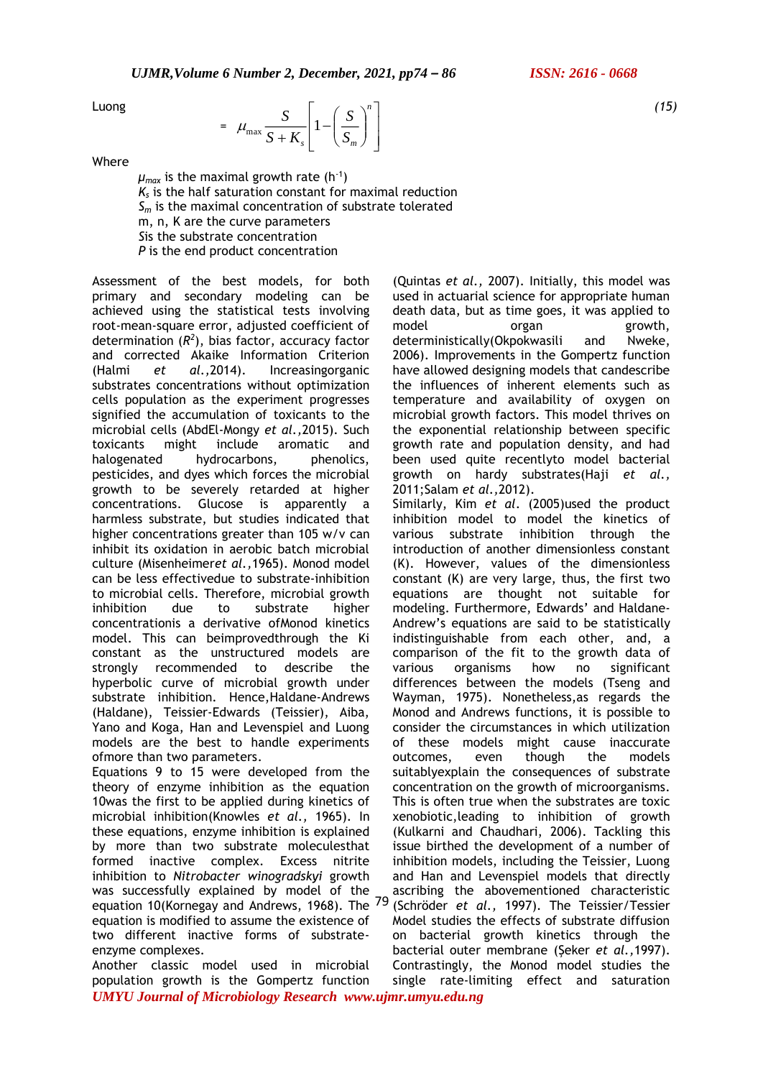Luong

$$
= \mu_{\max} \frac{S}{S + K_s} \left[ 1 - \left( \frac{S}{S_m} \right)^n \right]
$$

Where

 $\mu_{\textit{max}}$  is the maximal growth rate (h<sup>-1</sup>) *Ks* is the half saturation constant for maximal reduction *S<sup>m</sup>* is the maximal concentration of substrate tolerated m, n, K are the curve parameters *S*is the substrate concentration *P* is the end product concentration

Assessment of the best models, for both primary and secondary modeling can be achieved using the statistical tests involving root-mean-square error, adjusted coefficient of determination  $(R^2)$ , bias factor, accuracy factor and corrected Akaike Information Criterion (Halmi *et al.,*2014). Increasingorganic substrates concentrations without optimization cells population as the experiment progresses signified the accumulation of toxicants to the microbial cells (AbdEl-Mongy *et al.,*2015). Such toxicants might include aromatic and halogenated hydrocarbons, phenolics, pesticides, and dyes which forces the microbial growth to be severely retarded at higher concentrations. Glucose is apparently a harmless substrate, but studies indicated that higher concentrations greater than 105 w/v can inhibit its oxidation in aerobic batch microbial culture (Misenheimer*et al.,*1965). Monod model can be less effectivedue to substrate-inhibition to microbial cells. Therefore, microbial growth inhibition due to substrate higher concentrationis a derivative ofMonod kinetics model. This can beimprovedthrough the Ki constant as the unstructured models are strongly recommended to describe the hyperbolic curve of microbial growth under substrate inhibition. Hence,Haldane-Andrews (Haldane), Teissier-Edwards (Teissier), Aiba, Yano and Koga, Han and Levenspiel and Luong models are the best to handle experiments ofmore than two parameters.

Equations 9 to 15 were developed from the theory of enzyme inhibition as the equation 10was the first to be applied during kinetics of microbial inhibition(Knowles *et al.,* 1965). In these equations, enzyme inhibition is explained by more than two substrate moleculesthat formed inactive complex. Excess nitrite inhibition to *Nitrobacter winogradskyi* growth was successfully explained by model of the equation 10(Kornegay and Andrews, 1968). The <sup>79</sup> equation is modified to assume the existence of two different inactive forms of substrateenzyme complexes.

*UMYU Journal of Microbiology Research www.ujmr.umyu.edu.ng* Another classic model used in microbial population growth is the Gompertz function

(Quintas *et al.,* 2007). Initially, this model was used in actuarial science for appropriate human death data, but as time goes, it was applied to model organ growth, deterministically(Okpokwasili and Nweke, 2006). Improvements in the Gompertz function have allowed designing models that candescribe the influences of inherent elements such as temperature and availability of oxygen on microbial growth factors. This model thrives on the exponential relationship between specific growth rate and population density, and had been used quite recentlyto model bacterial growth on hardy substrates(Haji *et al.,* 2011;Salam *et al.,*2012).

Similarly, Kim *et al*. (2005)used the product inhibition model to model the kinetics of various substrate inhibition through the introduction of another dimensionless constant (K). However, values of the dimensionless constant (K) are very large, thus, the first two equations are thought not suitable for modeling. Furthermore, Edwards' and Haldane-Andrew's equations are said to be statistically indistinguishable from each other, and, a comparison of the fit to the growth data of various organisms how no significant differences between the models (Tseng and Wayman, 1975). Nonetheless,as regards the Monod and Andrews functions, it is possible to consider the circumstances in which utilization of these models might cause inaccurate outcomes, even though the models suitablyexplain the consequences of substrate concentration on the growth of microorganisms. This is often true when the substrates are toxic xenobiotic,leading to inhibition of growth (Kulkarni and Chaudhari, 2006). Tackling this issue birthed the development of a number of inhibition models, including the Teissier, Luong and Han and Levenspiel models that directly ascribing the abovementioned characteristic (Schröder *et al.,* 1997). The Teissier/Tessier Model studies the effects of substrate diffusion on bacterial growth kinetics through the bacterial outer membrane (Şeker *et al.,*1997). Contrastingly, the Monod model studies the single rate-limiting effect and saturation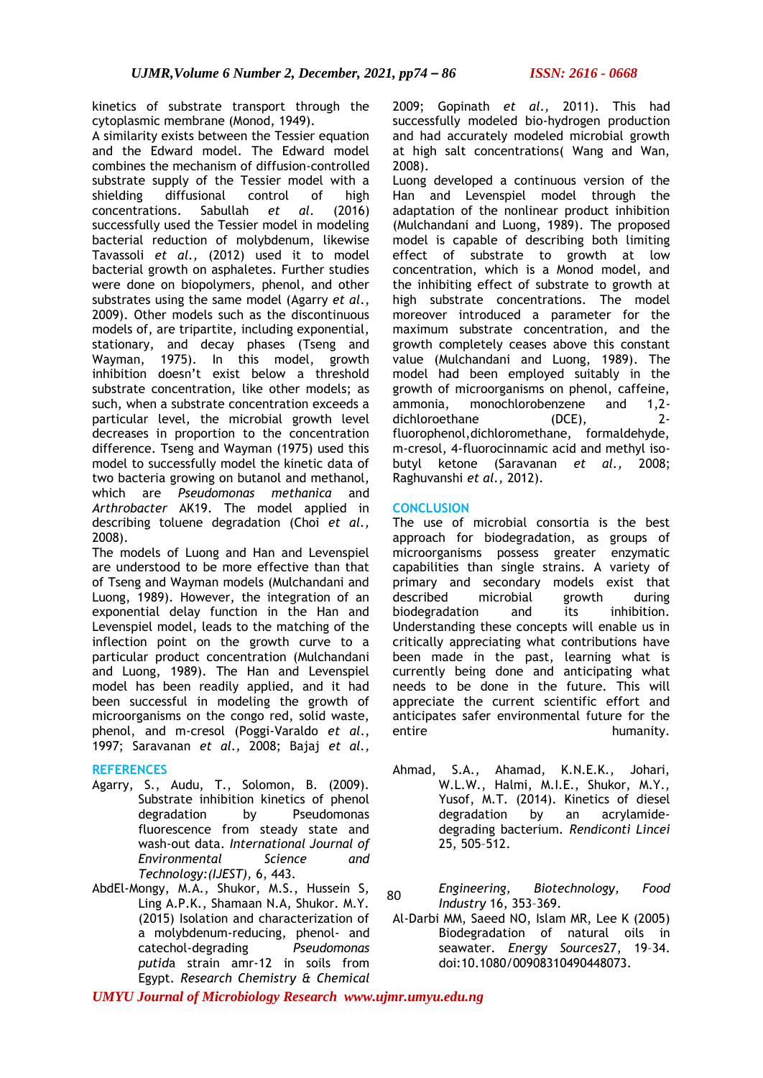kinetics of substrate transport through the cytoplasmic membrane (Monod, 1949).

A similarity exists between the Tessier equation and the Edward model. The Edward model combines the mechanism of diffusion-controlled substrate supply of the Tessier model with a shielding diffusional control of high concentrations. Sabullah *et al*. (2016) successfully used the Tessier model in modeling bacterial reduction of molybdenum, likewise Tavassoli *et al.,* (2012) used it to model bacterial growth on asphaletes. Further studies were done on biopolymers, phenol, and other substrates using the same model (Agarry *et al*., 2009). Other models such as the discontinuous models of, are tripartite, including exponential, stationary, and decay phases (Tseng and Wayman, 1975). In this model, growth inhibition doesn't exist below a threshold substrate concentration, like other models; as such, when a substrate concentration exceeds a particular level, the microbial growth level decreases in proportion to the concentration difference. Tseng and Wayman (1975) used this model to successfully model the kinetic data of two bacteria growing on butanol and methanol, which are *Pseudomonas methanica* and *Arthrobacter* AK19. The model applied in describing toluene degradation (Choi *et al.,* 2008).

The models of Luong and Han and Levenspiel are understood to be more effective than that of Tseng and Wayman models (Mulchandani and Luong, 1989). However, the integration of an exponential delay function in the Han and Levenspiel model, leads to the matching of the inflection point on the growth curve to a particular product concentration (Mulchandani and Luong, 1989). The Han and Levenspiel model has been readily applied, and it had been successful in modeling the growth of microorganisms on the congo red, solid waste, phenol, and m-cresol (Poggi-Varaldo *et al*., 1997; Saravanan *et al.,* 2008; Bajaj *et al.,*

#### **REFERENCES**

- Agarry, S., Audu, T., Solomon, B. (2009). Substrate inhibition kinetics of phenol degradation by Pseudomonas fluorescence from steady state and wash-out data. *International Journal of Environmental Science and Technology:(IJEST),* 6, 443.
- AbdEl-Mongy, M.A., Shukor, M.S., Hussein S, Ling A.P.K., Shamaan N.A, Shukor. M.Y. (2015) Isolation and characterization of a molybdenum-reducing, phenol- and catechol-degrading *Pseudomonas putid*a strain amr-12 in soils from Egypt. *Research Chemistry & Chemical*

2009; Gopinath *et al.,* 2011). This had successfully modeled bio-hydrogen production and had accurately modeled microbial growth at high salt concentrations( Wang and Wan, 2008).

Luong developed a continuous version of the Han and Levenspiel model through the adaptation of the nonlinear product inhibition (Mulchandani and Luong, 1989). The proposed model is capable of describing both limiting effect of substrate to growth at low concentration, which is a Monod model, and the inhibiting effect of substrate to growth at high substrate concentrations. The model moreover introduced a parameter for the maximum substrate concentration, and the growth completely ceases above this constant value (Mulchandani and Luong, 1989). The model had been employed suitably in the growth of microorganisms on phenol, caffeine, ammonia, monochlorobenzene and 1,2 dichloroethane (DCE), 2 fluorophenol,dichloromethane, formaldehyde, m-cresol, 4-fluorocinnamic acid and methyl isobutyl ketone (Saravanan *et al.,* 2008; Raghuvanshi *et al.,* 2012).

#### **CONCLUSION**

The use of microbial consortia is the best approach for biodegradation, as groups of microorganisms possess greater enzymatic capabilities than single strains. A variety of primary and secondary models exist that described microbial growth during biodegradation and its inhibition. Understanding these concepts will enable us in critically appreciating what contributions have been made in the past, learning what is currently being done and anticipating what needs to be done in the future. This will appreciate the current scientific effort and anticipates safer environmental future for the entire humanity.

- Ahmad, S.A., Ahamad, K.N.E.K., Johari, W.L.W., Halmi, M.I.E., Shukor, M.Y., Yusof, M.T. (2014). Kinetics of diesel degradation by an acrylamidedegrading bacterium. *Rendiconti Lincei*  25, 505–512.
- *Engineering, Biotechnology, Food Industry* 16, 353–369. 80
- Al-Darbi MM, Saeed NO, Islam MR, Lee K (2005) Biodegradation of natural oils in seawater. *Energy Sources*27, 19–34. doi:10.1080/00908310490448073.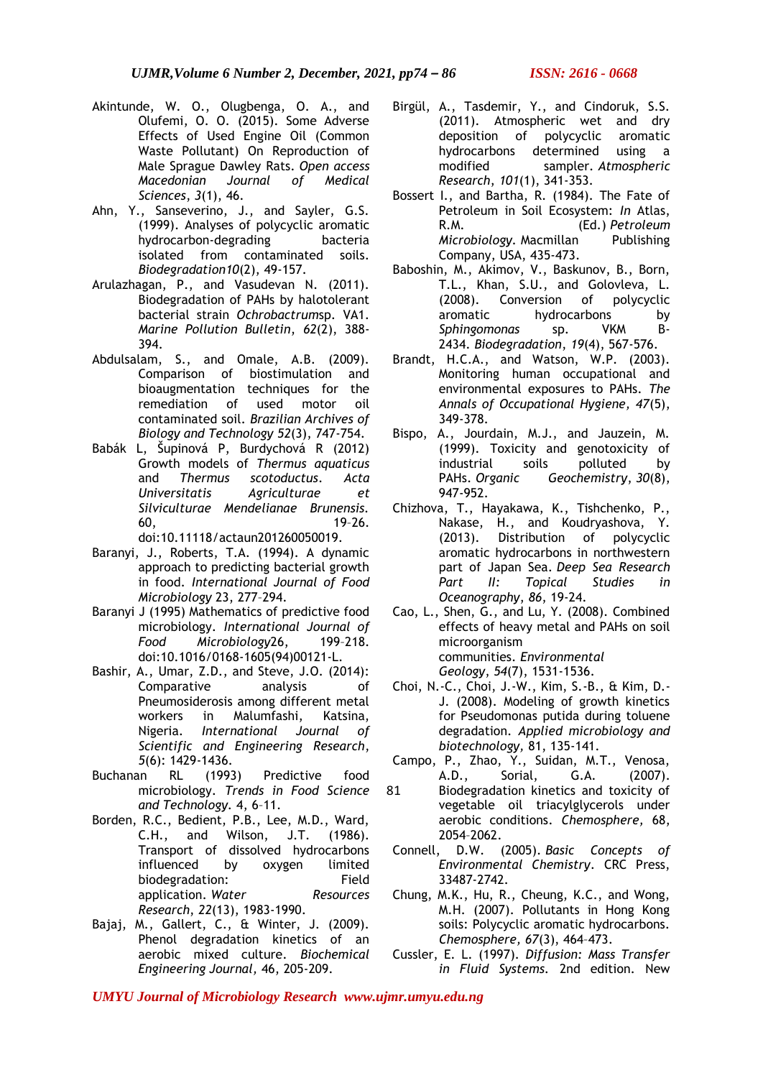- Akintunde, W. O., Olugbenga, O. A., and Olufemi, O. O. (2015). Some Adverse Effects of Used Engine Oil (Common Waste Pollutant) On Reproduction of Male Sprague Dawley Rats. *Open access Macedonian Journal of Medical Sciences*, *3*(1), 46.
- Ahn, Y., Sanseverino, J., and Sayler, G.S. (1999). Analyses of polycyclic aromatic hydrocarbon-degrading bacteria isolated from contaminated soils. *Biodegradation10*(2), 49-157.
- Arulazhagan, P., and Vasudevan N. (2011). Biodegradation of PAHs by halotolerant bacterial strain *Ochrobactrum*sp. VA1. *Marine Pollution Bulletin*, *62*(2), 388- 394.
- Abdulsalam, S., and Omale, A.B. (2009). Comparison of biostimulation and bioaugmentation techniques for the remediation of used motor oil contaminated soil. *Brazilian Archives of Biology and Technology 52*(3), 747-754.
- Babák L, Šupinová P, Burdychová R (2012) Growth models of *Thermus aquaticus* and *Thermus scotoductus*. *Acta Universitatis Agriculturae et Silviculturae Mendelianae Brunensis.*  60, 19–26. doi:10.11118/actaun201260050019.
- Baranyi, J., Roberts, T.A. (1994). A dynamic approach to predicting bacterial growth in food. *International Journal of Food Microbiology* 23, 277–294.
- Baranyi J (1995) Mathematics of predictive food microbiology. *International Journal of Food Microbiology*26, 199–218. doi:10.1016/0168-1605(94)00121-L.
- Bashir, A., Umar, Z.D., and Steve, J.O. (2014): Comparative analysis of Pneumosiderosis among different metal workers in Malumfashi, Katsina, Nigeria. *International Journal of Scientific and Engineering Research*, *5*(6): 1429-1436.
- Buchanan RL (1993) Predictive food microbiology. *Trends in Food Science and Technology.* 4, 6–11.
- Borden, R.C., Bedient, P.B., Lee, M.D., Ward, C.H., and Wilson, J.T. (1986). Transport of dissolved hydrocarbons influenced by oxygen limited biodegradation: Field application. *Water Resources Research*, *22*(13), 1983-1990.
- Bajaj, M., Gallert, C., & Winter, J. (2009). Phenol degradation kinetics of an aerobic mixed culture. *Biochemical Engineering Journal,* 46, 205-209.
- Birgül, A., Tasdemir, Y., and Cindoruk, S.S. (2011). Atmospheric wet and dry deposition of polycyclic aromatic hydrocarbons determined using a modified sampler. *Atmospheric Research*, *101*(1), 341-353.
- Bossert I., and Bartha, R. (1984). The Fate of Petroleum in Soil Ecosystem: *In* Atlas, R.M. (Ed.) *Petroleum Microbiology.* Macmillan Publishing Company, USA, 435-473.
- Baboshin, M., Akimov, V., Baskunov, B., Born, T.L., Khan, S.U., and Golovleva, L. (2008). Conversion of polycyclic aromatic hydrocarbons by *Sphingomonas* sp. VKM B-2434. *Biodegradation*, *19*(4), 567-576.
- Brandt, H.C.A., and Watson, W.P. (2003). Monitoring human occupational and environmental exposures to PAHs. *The Annals of Occupational Hygiene, 47*(5), 349-378.
- Bispo, A., Jourdain, M.J., and Jauzein, M. (1999). Toxicity and genotoxicity of industrial soils polluted by<br>PAHs. Organic Geochemistry, 30(8), Geochemistry, 30(8), 947-952.
- Chizhova, T., Hayakawa, K., Tishchenko, P., Nakase, H., and Koudryashova, Y. (2013). Distribution of polycyclic aromatic hydrocarbons in northwestern part of Japan Sea. *Deep Sea Research Part II: Topical Studies in Oceanography*, *86*, 19-24.
- Cao, L., Shen, G., and Lu, Y. (2008). Combined effects of heavy metal and PAHs on soil microorganism communities. *Environmental Geology*, *54*(7), 1531-1536.
- Choi, N.-C., Choi, J.-W., Kim, S.-B., & Kim, D.- J. (2008). Modeling of growth kinetics for Pseudomonas putida during toluene degradation. *Applied microbiology and biotechnology,* 81, 135-141.
- Campo, P., Zhao, Y., Suidan, M.T., Venosa, A.D., Sorial, G.A. (2007).
- Biodegradation kinetics and toxicity of vegetable oil triacylglycerols under aerobic conditions. *Chemosphere,* 68, 2054–2062. 81
- Connell, D.W. (2005). *Basic Concepts of Environmental Chemistry*. CRC Press, 33487-2742.
- Chung, M.K., Hu, R., Cheung, K.C., and Wong, M.H. (2007). Pollutants in Hong Kong soils: Polycyclic aromatic hydrocarbons. *Chemosphere, 67*(3), 464–473.
- Cussler, E. L. (1997). *Diffusion: Mass Transfer in Fluid Systems.* 2nd edition. New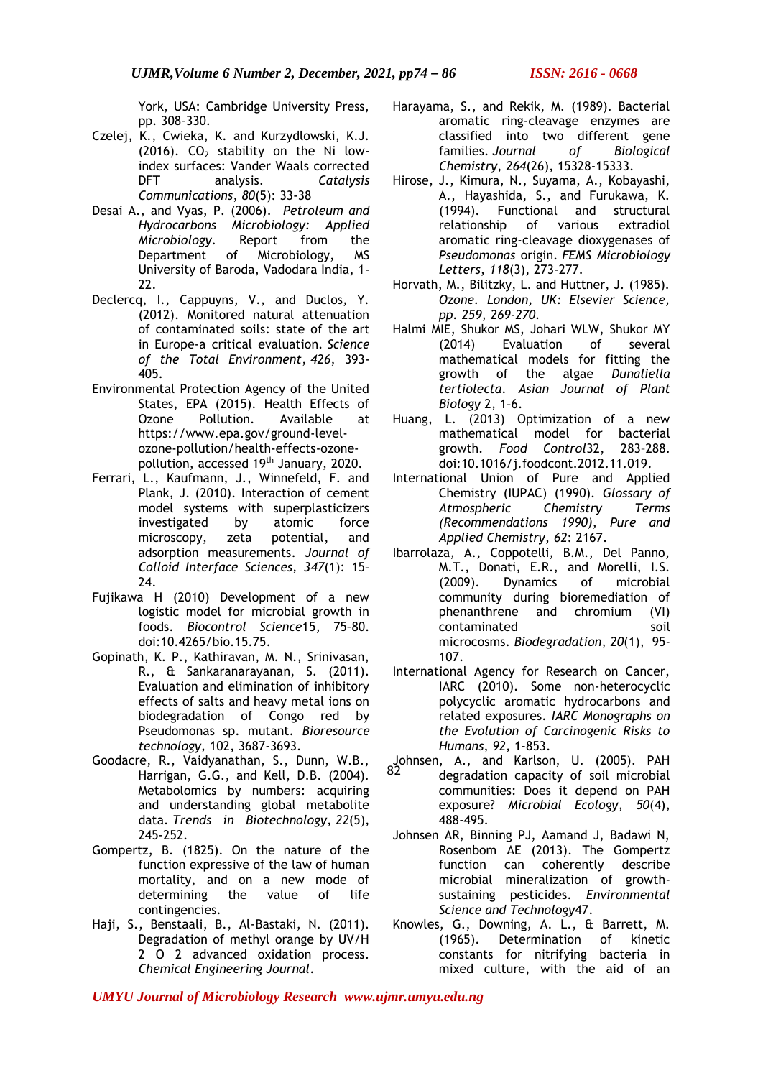York, USA: Cambridge University Press, pp. 308–330.

- Czelej, K., Cwieka, K. and Kurzydlowski, K.J. (2016).  $CO<sub>2</sub>$  stability on the Ni lowindex surfaces: Vander Waals corrected DFT analysis. *Catalysis Communications*, *80*(5): 33-38
- Desai A., and Vyas, P. (2006). *Petroleum and Hydrocarbons Microbiology: Applied Microbiology*. Report from the Department of Microbiology, MS University of Baroda, Vadodara India, 1- 22.
- Declercq, I., Cappuyns, V., and Duclos, Y. (2012). Monitored natural attenuation of contaminated soils: state of the art in Europe-a critical evaluation. *Science of the Total Environment*, *426*, 393- 405.
- Environmental Protection Agency of the United States, EPA (2015). Health Effects of Ozone Pollution. Available at https://www.epa.gov/ground-levelozone-pollution/health-effects-ozonepollution, accessed 19th January, 2020.
- Ferrari, L., Kaufmann, J., Winnefeld, F. and Plank, J. (2010). Interaction of cement model systems with superplasticizers investigated by atomic force microscopy, zeta potential, and adsorption measurements. *Journal of Colloid Interface Sciences, 347*(1): 15– 24.
- Fujikawa H (2010) Development of a new logistic model for microbial growth in foods. *Biocontrol Science*15, 75–80. doi:10.4265/bio.15.75.
- Gopinath, K. P., Kathiravan, M. N., Srinivasan, R., & Sankaranarayanan, S. (2011). Evaluation and elimination of inhibitory effects of salts and heavy metal ions on biodegradation of Congo red by Pseudomonas sp. mutant. *Bioresource technology,* 102, 3687-3693.
- Goodacre, R., Vaidyanathan, S., Dunn, W.B., Harrigan, G.G., and Kell, D.B. (2004). Metabolomics by numbers: acquiring and understanding global metabolite data. *Trends in Biotechnology*, *22*(5), 245-252.
- Gompertz, B. (1825). On the nature of the function expressive of the law of human mortality, and on a new mode of determining the value of life contingencies.
- Haji, S., Benstaali, B., Al-Bastaki, N. (2011). Degradation of methyl orange by UV/H 2 O 2 advanced oxidation process. *Chemical Engineering Journal*.
- Harayama, S., and Rekik, M. (1989). Bacterial aromatic ring-cleavage enzymes are classified into two different gene families. *Journal of Biological Chemistry*, *264*(26), 15328-15333.
- Hirose, J., Kimura, N., Suyama, A., Kobayashi, A., Hayashida, S., and Furukawa, K. (1994). Functional and structural relationship of various extradiol aromatic ring-cleavage dioxygenases of *Pseudomonas* origin. *FEMS Microbiology Letters*, *118*(3), 273-277.
- Horvath, M., Bilitzky, L. and Huttner, J. (1985). *Ozone. London, UK: Elsevier Science, pp. 259, 269-270.*
- Halmi MIE, Shukor MS, Johari WLW, Shukor MY (2014) Evaluation of several mathematical models for fitting the growth of the algae *Dunaliella tertiolecta*. *Asian Journal of Plant Biology* 2, 1–6.
- Huang, L. (2013) Optimization of a new mathematical model for bacterial growth. *Food Control*32, 283–288. doi:10.1016/j.foodcont.2012.11.019.
- International Union of Pure and Applied Chemistry (IUPAC) (1990)*. Glossary of Atmospheric Chemistry Terms (Recommendations 1990), Pure and Applied Chemistry*, *62*: 2167.
- Ibarrolaza, A., Coppotelli, B.M., Del Panno, M.T., Donati, E.R., and Morelli, I.S. (2009). Dynamics of microbial community during bioremediation of phenanthrene and chromium (VI) contaminated soil microcosms. *Biodegradation*, *20*(1), 95- 107.
- International Agency for Research on Cancer, IARC (2010). Some non-heterocyclic polycyclic aromatic hydrocarbons and related exposures. *IARC Monographs on the Evolution of Carcinogenic Risks to Humans*, *92,* 1-853.
- Johnsen, A., and Karlson, U. (2005). PAH 82degradation capacity of soil microbial communities: Does it depend on PAH exposure? *Microbial Ecology*, *50*(4), 488-495.
- Johnsen AR, Binning PJ, Aamand J, Badawi N, Rosenbom AE (2013). The Gompertz function can coherently describe microbial mineralization of growthsustaining pesticides. *Environmental Science and Technology*47.
- Knowles, G., Downing, A. L., & Barrett, M. (1965). Determination of kinetic constants for nitrifying bacteria in mixed culture, with the aid of an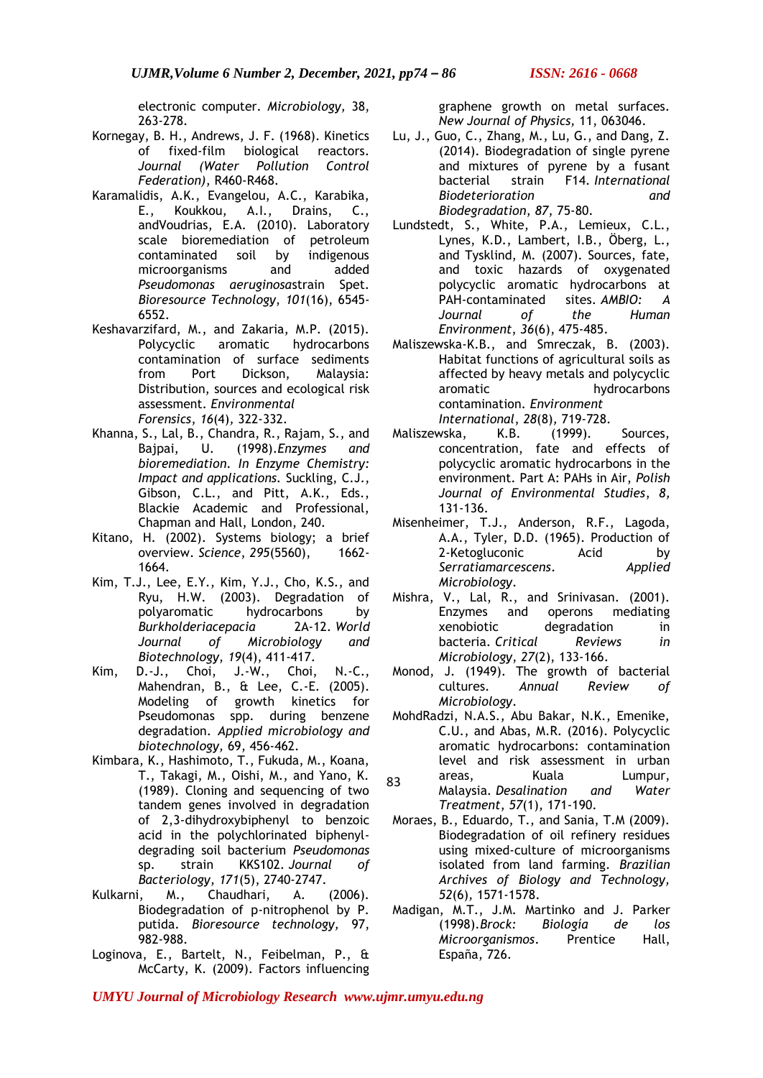electronic computer. *Microbiology,* 38, 263-278.

- Kornegay, B. H., Andrews, J. F. (1968). Kinetics of fixed-film biological reactors. *Journal (Water Pollution Control Federation)*, R460-R468.
- Karamalidis, A.K., Evangelou, A.C., Karabika, E., Koukkou, A.I., Drains, C., andVoudrias, E.A. (2010). Laboratory scale bioremediation of petroleum contaminated soil by indigenous microorganisms and added *Pseudomonas aeruginosa*strain Spet. *Bioresource Technology*, *101*(16), 6545- 6552.
- Keshavarzifard, M., and Zakaria, M.P. (2015). Polycyclic aromatic hydrocarbons contamination of surface sediments from Port Dickson, Malaysia: Distribution, sources and ecological risk assessment. *Environmental Forensics*, *16*(4)*,* 322-332.
- Khanna, S., Lal, B., Chandra, R., Rajam, S., and Bajpai, U. (1998).*Enzymes and bioremediation. In Enzyme Chemistry: Impact and applications.* Suckling, C.J., Gibson, C.L., and Pitt, A.K., Eds., Blackie Academic and Professional, Chapman and Hall, London, 240.
- Kitano, H. (2002). Systems biology; a brief overview. *Science*, *295*(5560), 1662- 1664.
- Kim, T.J., Lee, E.Y., Kim, Y.J., Cho, K.S., and Ryu, H.W. (2003). Degradation of polyaromatic hydrocarbons by *Burkholderiacepacia* 2A-12. *World Journal of Microbiology and Biotechnology*, *19*(4), 411-417.
- Kim, D.-J., Choi, J.-W., Choi, N.-C., Mahendran, B., & Lee, C.-E. (2005). Modeling of growth kinetics for Pseudomonas spp. during benzene degradation. *Applied microbiology and biotechnology,* 69, 456-462.
- Kimbara, K., Hashimoto, T., Fukuda, M., Koana, T., Takagi, M., Oishi, M., and Yano, K. (1989). Cloning and sequencing of two tandem genes involved in degradation of 2,3-dihydroxybiphenyl to benzoic acid in the polychlorinated biphenyldegrading soil bacterium *Pseudomonas* sp. strain KKS102. *Journal of Bacteriology*, *171*(5), 2740-2747.
- Kulkarni, M., Chaudhari, A. (2006). Biodegradation of p-nitrophenol by P. putida. *Bioresource technology,* 97, 982-988.
- Loginova, E., Bartelt, N., Feibelman, P., & McCarty, K. (2009). Factors influencing

graphene growth on metal surfaces. *New Journal of Physics,* 11, 063046.

- Lu, J., Guo, C., Zhang, M., Lu, G., and Dang, Z. (2014). Biodegradation of single pyrene and mixtures of pyrene by a fusant bacterial strain F14. *International Biodeterioration and Biodegradation*, *87*, 75-80.
- Lundstedt, S., White, P.A., Lemieux, C.L., Lynes, K.D., Lambert, I.B., Öberg, L., and Tysklind, M. (2007). Sources, fate, and toxic hazards of oxygenated polycyclic aromatic hydrocarbons at PAH-contaminated sites. *AMBIO: A Journal of the Human Environment*, *36*(6), 475-485.
- Maliszewska-K.B., and Smreczak, B. (2003). Habitat functions of agricultural soils as affected by heavy metals and polycyclic aromatic hydrocarbons contamination. *Environment International*, *28*(8)*,* 719-728.
- Maliszewska, K.B. (1999). Sources, concentration, fate and effects of polycyclic aromatic hydrocarbons in the environment. Part A: PAHs in Air, *Polish Journal of Environmental Studies*, *8,* 131-136.
- Misenheimer, T.J., Anderson, R.F., Lagoda, A.A., Tyler, D.D. (1965). Production of 2-Ketogluconic Acid by *Serratiamarcescens*. *Applied Microbiology*.
- Mishra, V., Lal, R., and Srinivasan. (2001). Enzymes and operons mediating xenobiotic degradation in<br>bacteria. Critical Reviews in bacteria. *Critical Reviews in Microbiology*, *27*(2), 133-166.
- Monod, J. (1949). The growth of bacterial cultures. *Annual Review of Microbiology*.
- MohdRadzi, N.A.S., Abu Bakar, N.K., Emenike, C.U., and Abas, M.R. (2016). Polycyclic aromatic hydrocarbons: contamination level and risk assessment in urban areas, Kuala Lumpur,
- Malaysia. *Desalination and Water Treatment*, *57*(1), 171-190. 83
- Moraes, B., Eduardo, T., and Sania, T.M (2009). Biodegradation of oil refinery residues using mixed-culture of microorganisms isolated from land farming. *Brazilian Archives of Biology and Technology, 52*(6)*,* 1571-1578.
- Madigan, M.T., J.M. Martinko and J. Parker (1998).*Brock: Biología de los Microorganismos*. Prentice Hall, España, 726.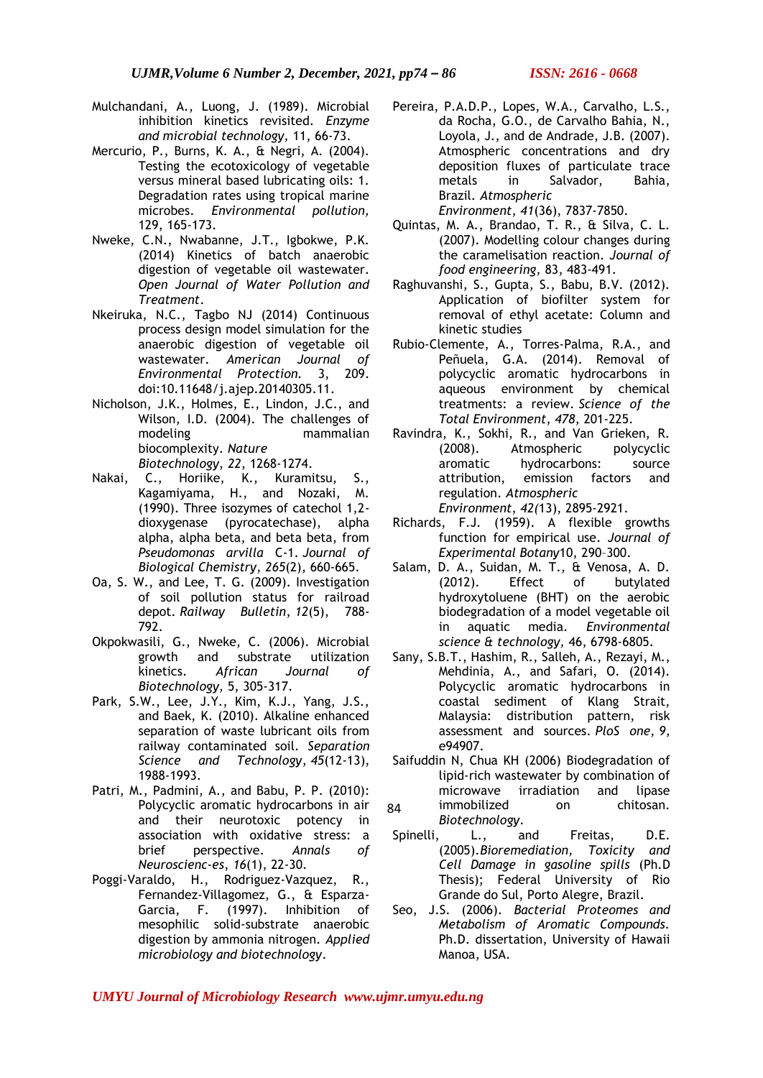- Mulchandani, A., Luong, J. (1989). Microbial inhibition kinetics revisited. *Enzyme and microbial technology,* 11, 66-73.
- Mercurio, P., Burns, K. A., & Negri, A. (2004). Testing the ecotoxicology of vegetable versus mineral based lubricating oils: 1. Degradation rates using tropical marine microbes. *Environmental pollution,*  129, 165-173.
- Nweke, C.N., Nwabanne, J.T., Igbokwe, P.K. (2014) Kinetics of batch anaerobic digestion of vegetable oil wastewater. *Open Journal of Water Pollution and Treatment*.
- Nkeiruka, N.C., Tagbo NJ (2014) Continuous process design model simulation for the anaerobic digestion of vegetable oil wastewater. *American Journal of Environmental Protection.* 3, 209. doi:10.11648/j.ajep.20140305.11.
- Nicholson, J.K., Holmes, E., Lindon, J.C., and Wilson, I.D. (2004). The challenges of modeling mammalian biocomplexity. *Nature Biotechnology*, *22*, 1268-1274.
- Nakai, C., Horiike, K., Kuramitsu, S., Kagamiyama, H., and Nozaki, M. (1990). Three isozymes of catechol 1,2 dioxygenase (pyrocatechase), alpha alpha, alpha beta, and beta beta, from *Pseudomonas arvilla* C-1. *Journal of Biological Chemistry*, *265*(2), 660-665.
- Oa, S. W., and Lee, T. G. (2009). Investigation of soil pollution status for railroad depot. *Railway Bulletin*, *12*(5), 788- 792.
- Okpokwasili, G., Nweke, C. (2006). Microbial growth and substrate utilization kinetics. *African Journal of Biotechnology,* 5, 305-317.
- Park, S.W., Lee, J.Y., Kim, K.J., Yang, J.S., and Baek, K. (2010). Alkaline enhanced separation of waste lubricant oils from railway contaminated soil. *Separation Science and Technology*, *45*(12-13), 1988-1993.
- Patri, M., Padmini, A., and Babu, P. P. (2010): Polycyclic aromatic hydrocarbons in air and their neurotoxic potency in association with oxidative stress: a brief perspective. *Annals of Neuroscienc-es*, *16*(1), 22-30.
- Poggi-Varaldo, H., Rodriguez-Vazquez, R., Fernandez-Villagomez, G., & Esparza-Garcia, F. (1997). Inhibition of mesophilic solid-substrate anaerobic digestion by ammonia nitrogen. *Applied microbiology and biotechnology*.
- Pereira, P.A.D.P., Lopes, W.A., Carvalho, L.S., da Rocha, G.O., de Carvalho Bahia, N., Loyola, J., and de Andrade, J.B. (2007). Atmospheric concentrations and dry deposition fluxes of particulate trace metals in Salvador, Bahia, Brazil. *Atmospheric Environment*, *41*(36), 7837-7850.
- Quintas, M. A., Brandao, T. R., & Silva, C. L. (2007). Modelling colour changes during the caramelisation reaction. *Journal of food engineering,* 83, 483-491.
- Raghuvanshi, S., Gupta, S., Babu, B.V. (2012). Application of biofilter system for removal of ethyl acetate: Column and kinetic studies
- Rubio-Clemente, A., Torres-Palma, R.A., and Peñuela, G.A. (2014). Removal of polycyclic aromatic hydrocarbons in aqueous environment by chemical treatments: a review. *Science of the Total Environment*, *478*, 201-225.
- Ravindra, K., Sokhi, R., and Van Grieken, R. (2008). Atmospheric polycyclic aromatic hydrocarbons: source attribution, emission factors and regulation. *Atmospheric Environment*, *42(*13), 2895-2921.
- Richards, F.J. (1959). A flexible growths function for empirical use. *Journal of Experimental Botany*10, 290–300.
- Salam, D. A., Suidan, M. T., & Venosa, A. D. (2012). Effect of butylated hydroxytoluene (BHT) on the aerobic biodegradation of a model vegetable oil in aquatic media. *Environmental science & technology,* 46, 6798-6805.
- Sany, S.B.T., Hashim, R., Salleh, A., Rezayi, M., Mehdinia, A., and Safari, O. (2014). Polycyclic aromatic hydrocarbons in coastal sediment of Klang Strait, Malaysia: distribution pattern, risk assessment and sources. *PloS one*, *9*, e94907.
- Saifuddin N, Chua KH (2006) Biodegradation of lipid-rich wastewater by combination of microwave irradiation and lipase immobilized on chitosan. *Biotechnology*.  $84$
- Spinelli, L., and Freitas, D.E. (2005).*Bioremediation, Toxicity and Cell Damage in gasoline spills* (Ph.D Thesis); Federal University of Rio Grande do Sul, Porto Alegre, Brazil.
- Seo, J.S. (2006). *Bacterial Proteomes and Metabolism of Aromatic Compounds.*  Ph.D. dissertation, University of Hawaii Manoa, USA.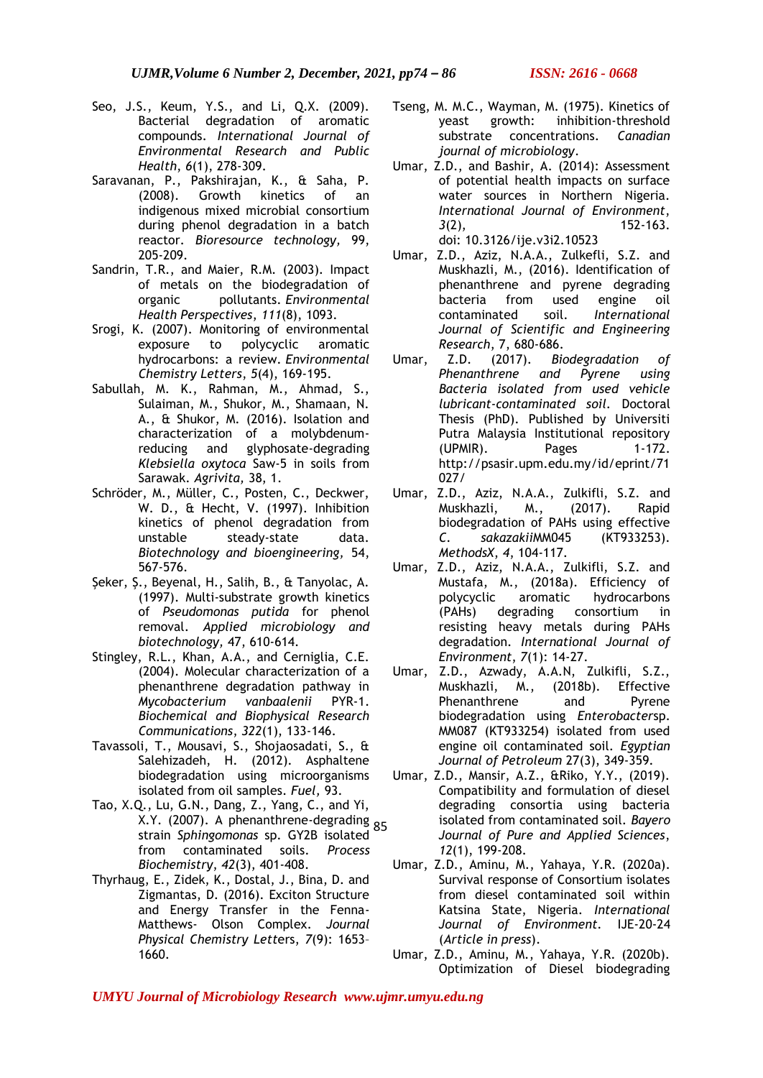- Seo, J.S., Keum, Y.S., and Li, Q.X. (2009). Bacterial degradation of aromatic compounds. *International Journal of Environmental Research and Public Health*, *6*(1), 278-309.
- Saravanan, P., Pakshirajan, K., & Saha, P. (2008). Growth kinetics of an indigenous mixed microbial consortium during phenol degradation in a batch reactor. *Bioresource technology,* 99, 205-209.
- Sandrin, T.R., and Maier, R.M. (2003). Impact of metals on the biodegradation of organic pollutants. *Environmental Health Perspectives*, *111*(8), 1093.
- Srogi, K. (2007). Monitoring of environmental exposure to polycyclic aromatic hydrocarbons: a review. *Environmental Chemistry Letters*, *5*(4), 169-195.
- Sabullah, M. K., Rahman, M., Ahmad, S., Sulaiman, M., Shukor, M., Shamaan, N. A., & Shukor, M. (2016). Isolation and characterization of a molybdenumreducing and glyphosate-degrading *Klebsiella oxytoca* Saw-5 in soils from Sarawak. *Agrivita,* 38, 1.
- Schröder, M., Müller, C., Posten, C., Deckwer, W. D., & Hecht, V. (1997). Inhibition kinetics of phenol degradation from unstable steady‐state data. *Biotechnology and bioengineering,* 54, 567-576.
- Şeker, Ş., Beyenal, H., Salih, B., & Tanyolac, A. (1997). Multi-substrate growth kinetics of *Pseudomonas putida* for phenol removal. *Applied microbiology and biotechnology,* 47, 610-614.
- Stingley, R.L., Khan, A.A., and Cerniglia, C.E. (2004). Molecular characterization of a phenanthrene degradation pathway in *Mycobacterium vanbaalenii* PYR-1. *Biochemical and Biophysical Research Communications*, *322*(1), 133-146.
- Tavassoli, T., Mousavi, S., Shojaosadati, S., & Salehizadeh, H. (2012). Asphaltene biodegradation using microorganisms isolated from oil samples. *Fuel,* 93.
- Tao, X.Q., Lu, G.N., Dang, Z., Yang, C., and Yi, X.Y. (2007). A phenanthrene-degrading 85strain *Sphingomonas* sp. GY2B isolated from contaminated soils. *Process Biochemistry*, *42*(3), 401-408.
- Thyrhaug, E., Zidek, K., Dostal, J., Bina, D. and Zigmantas, D. (2016). Exciton Structure and Energy Transfer in the Fenna-Matthews- Olson Complex. *Journal Physical Chemistry Lett*ers, *7*(9): 1653– 1660.
- Tseng, M. M.C., Wayman, M. (1975). Kinetics of yeast growth: inhibition-threshold substrate concentrations. *Canadian journal of microbiology*.
- Umar, Z.D., and Bashir, A. (2014): Assessment of potential health impacts on surface water sources in Northern Nigeria. *International Journal of Environment*, *3*(2), 152-163. doi: 10.3126/ije.v3i2.10523
- Umar, Z.D., Aziz, N.A.A., Zulkefli, S.Z. and Muskhazli, M., (2016). Identification of phenanthrene and pyrene degrading bacteria from used engine oil contaminated soil. *International Journal of Scientific and Engineering Research*, 7, 680-686.
- Umar, Z.D. (2017). *Biodegradation of Phenanthrene and Pyrene using Bacteria isolated from used vehicle lubricant-contaminated soil.* Doctoral Thesis (PhD). Published by Universiti Putra Malaysia Institutional repository (UPMIR). Pages 1-172. http://psasir.upm.edu.my/id/eprint/71 027/
- Umar, Z.D., Aziz, N.A.A., Zulkifli, S.Z. and Muskhazli, M., (2017). Rapid biodegradation of PAHs using effective *C. sakazakii*MM045 (KT933253). *MethodsX*, *4*, 104-117.
- Umar, Z.D., Aziz, N.A.A., Zulkifli, S.Z. and Mustafa, M., (2018a). Efficiency of polycyclic aromatic hydrocarbons (PAHs) degrading consortium in resisting heavy metals during PAHs degradation. *International Journal of Environment*, *7*(1): 14-27.
- Umar, Z.D., Azwady, A.A.N, Zulkifli, S.Z., Muskhazli, M., (2018b). Effective Phenanthrene and Pyrene biodegradation using *Enterobacter*sp. MM087 (KT933254) isolated from used engine oil contaminated soil. *Egyptian Journal of Petroleum* 27(3), 349-359.
- Umar, Z.D., Mansir, A.Z., &Riko, Y.Y., (2019). Compatibility and formulation of diesel degrading consortia using bacteria isolated from contaminated soil. *Bayero Journal of Pure and Applied Sciences*, *12*(1), 199-208.
- Umar, Z.D., Aminu, M., Yahaya, Y.R. (2020a). Survival response of Consortium isolates from diesel contaminated soil within Katsina State, Nigeria. *International Journal of Environment.* IJE-20-24 (*Article in press*).
- Umar, Z.D., Aminu, M., Yahaya, Y.R. (2020b). Optimization of Diesel biodegrading